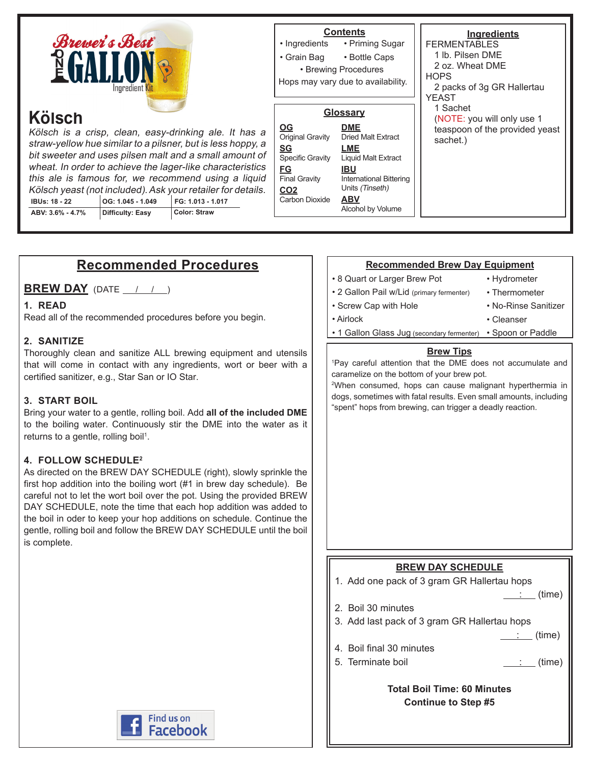

# **Recommended Procedures**

**BREW DAY** (DATE  $\left( \begin{array}{cc} 1 & 1 \end{array} \right)$ 

#### **1. READ**

Read all of the recommended procedures before you begin.

#### **2. SANITIZE**

Thoroughly clean and sanitize ALL brewing equipment and utensils that will come in contact with any ingredients, wort or beer with a certified sanitizer, e.g., Star San or IO Star.

#### **3. START BOIL**

Bring your water to a gentle, rolling boil. Add **all of the included DME** to the boiling water. Continuously stir the DME into the water as it returns to a gentle, rolling boil<sup>1</sup>.

#### **4. FOLLOW SCHEDULE2**

As directed on the BREW DAY SCHEDULE (right), slowly sprinkle the first hop addition into the boiling wort (#1 in brew day schedule). Be careful not to let the wort boil over the pot. Using the provided BREW DAY SCHEDULE, note the time that each hop addition was added to the boil in oder to keep your hop additions on schedule. Continue the gentle, rolling boil and follow the BREW DAY SCHEDULE until the boil is complete.

# **Find us on Facebook**

#### **Recommended Brew Day Equipment**

- 8 Quart or Larger Brew Pot
- 2 Gallon Pail w/Lid (primary fermenter)

• Screw Cap with Hole

• Hydrometer • Thermometer • No-Rinse Sanitizer

• Cleanser

- Airlock
	- 1 Gallon Glass Jug (secondary fermenter) Spoon or Paddle

#### **Brew Tips**

1 Pay careful attention that the DME does not accumulate and caramelize on the bottom of your brew pot.

2 When consumed, hops can cause malignant hyperthermia in dogs, sometimes with fatal results. Even small amounts, including "spent" hops from brewing, can trigger a deadly reaction.

# **BREW DAY SCHEDULE** 1. Add one pack of 3 gram GR Hallertau hops  $\therefore$  (time) 2. Boil 30 minutes 3. Add last pack of 3 gram GR Hallertau hops : (time) 4. Boil final 30 minutes 5. Terminate boil  $\qquad \qquad \qquad \qquad$  (time) **Total Boil Time: 60 Minutes Continue to Step #5**